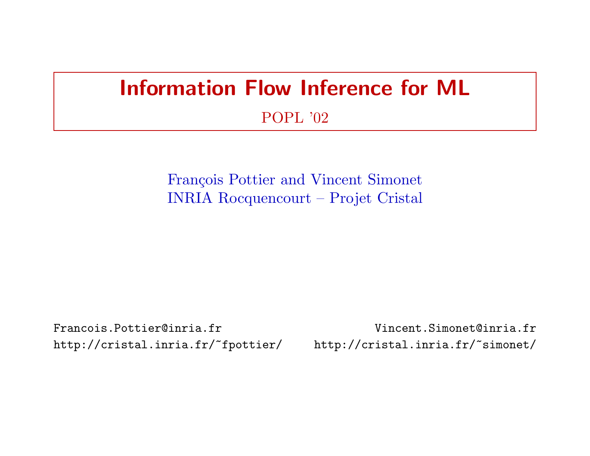# Information Flow Inference for ML

#### POPL '02

François Pottier and Vincent Simonet INRIA Rocquencourt – Projet Cristal

http://cristal.inria.fr/~fpottier/ http://cristal.inria.fr/~simonet/

Francois.Pottier@inria.fr Vincent.Simonet@inria.fr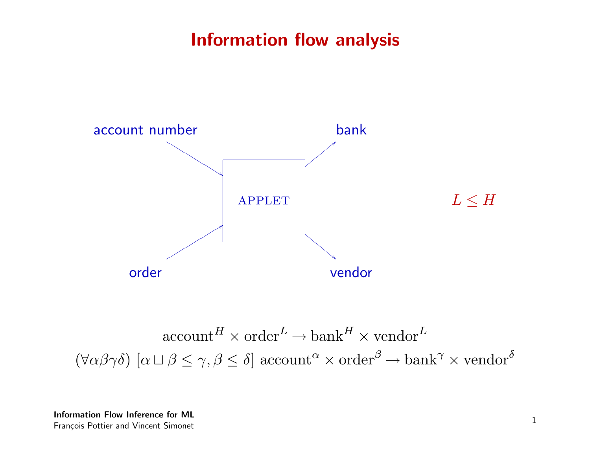#### Information flow analysis



 $\mathrm{account}^H \times \mathrm{order}^L \to \mathrm{bank}^H \times \mathrm{vendor}^L$  $(\forall \alpha \beta \gamma \delta)$   $[\alpha \sqcup \beta \leq \gamma, \beta \leq \delta]$  account  $\alpha \times \text{order}^{\beta} \rightarrow \text{bank}^{\gamma} \times \text{vendor}^{\delta}$ 

Information Flow Inference for ML François Pottier and Vincent Simonet 1 and 1 and 2 and 2 and 2 and 2 and 2 and 2 and 2 and 2 and 2 and 2 and 2 and 2 and 2 and 2 and 2 and 2 and 2 and 2 and 2 and 2 and 2 and 2 and 2 and 2 and 2 and 2 and 2 and 2 and 2 and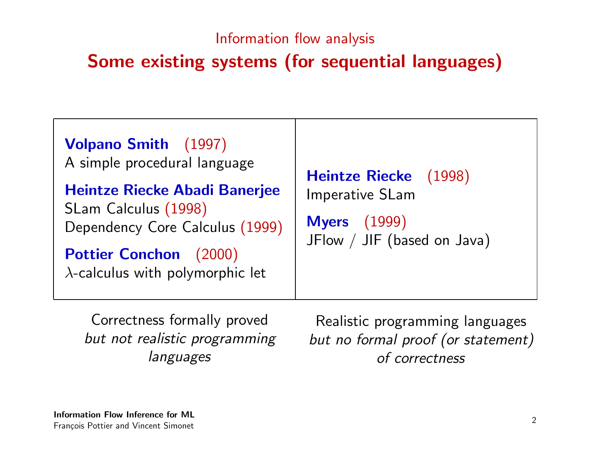#### Information flow analysis

## Some existing systems (for sequential languages)

Correctness formally proved but not realistic programming languages

Realistic programming languages but no formal proof (or statement) of correctness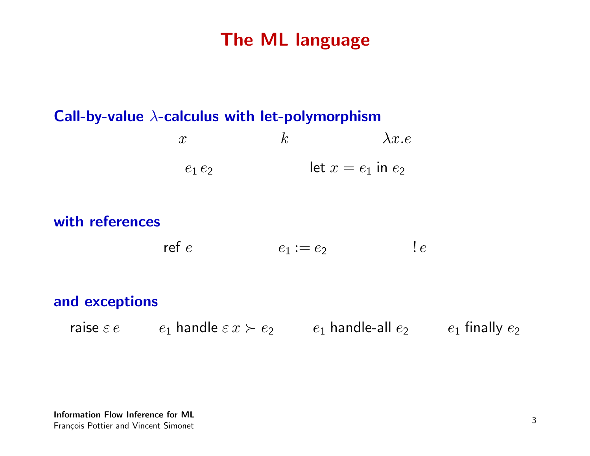#### The ML language

#### Call-by-value  $\lambda$ -calculus with let-polymorphism

x  $k$   $\lambda x.e$  $e_1 e_2$  let  $x = e_1$  in  $e_2$ 

#### with references

ref e  $e_1 := e_2$  ! e

#### and exceptions

raise  $\varepsilon e$  e<sub>1</sub> handle  $\varepsilon x \succ e_2$  e<sub>1</sub> handle-all  $e_2$  e<sub>1</sub> finally  $e_2$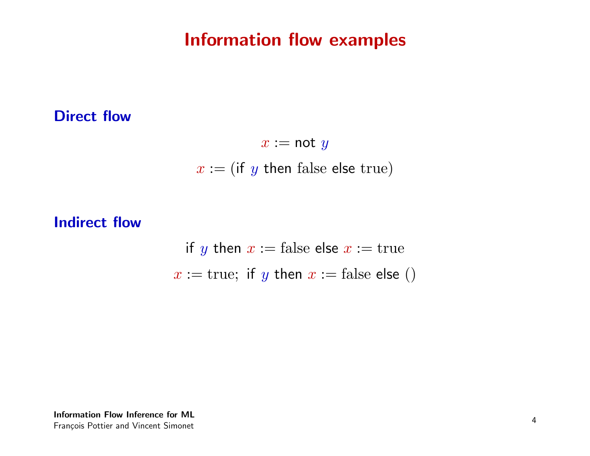#### Information flow examples

#### Direct flow

 $x := \text{not } y$  $x := (if y then false else true)$ 

#### Indirect flow

if y then  $x :=$  false else  $x :=$  true  $x := true$ ; if y then  $x := false$  else ()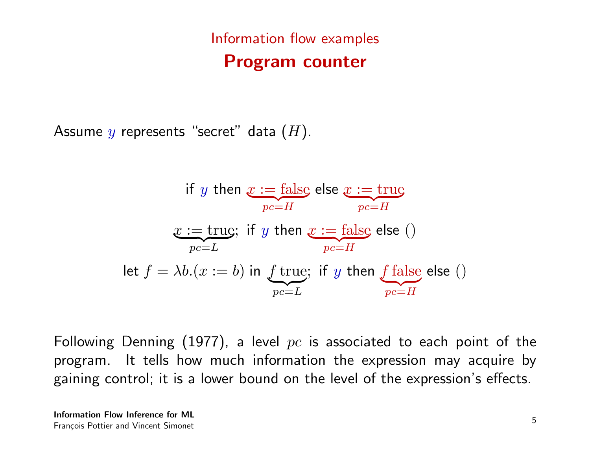## Information flow examples Program counter

Assume y represents "secret" data  $(H)$ .

if *y* then 
$$
x := false
$$
 else  $x := true$   
\n $x := true$ ; if *y* then  $x := false$  else ()  
\n $pc = L$   
\nlet  $f = \lambda b.(x := b)$  in *f* true; if *y* then *f* false else ()  
\n $pc = L$ 

Following Denning (1977), a level  $pc$  is associated to each point of the program. It tells how much information the expression may acquire by gaining control; it is a lower bound on the level of the expression's effects.

Information Flow Inference for ML François Pottier and Vincent Simonet 5 and 1990 and 1990 and 1990 and 1990 and 1990 and 1990 and 1990 and 1990  $\frac{5}{5}$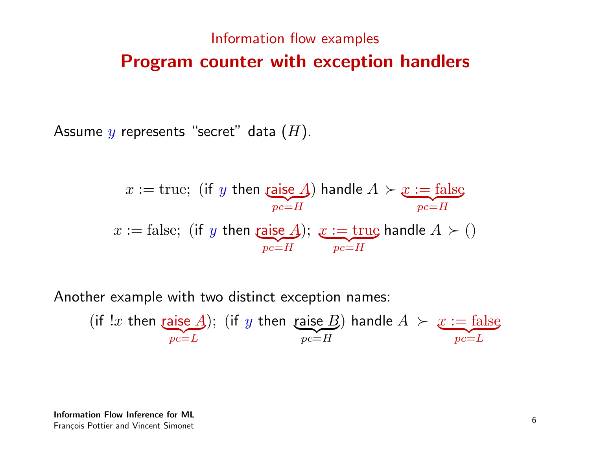## Information flow examples Program counter with exception handlers

Assume y represents "secret" data  $(H)$ .

$$
x := \text{true}; \text{ (if } y \text{ then } \underbrace{\text{raise } A}_{pc=H}) \text{ handle } A \succ x := \text{false}
$$
\n
$$
x := \text{false}; \text{ (if } y \text{ then } \underbrace{\text{raise } A}_{pc=H}); x := \text{true} \text{ handle } A \succ 0
$$

Another example with two distinct exception names:

(if 
$$
!x
$$
 then **raise** A); (if  $y$  then **raise** B) handle  $A \succ x := \text{false}$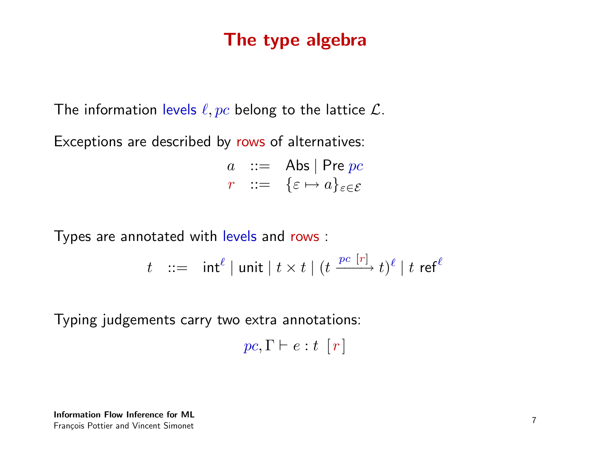#### The type algebra

The information levels  $\ell, pc$  belong to the lattice  $\mathcal{L}$ .

Exceptions are described by rows of alternatives:

 $a$  :  $=$  Abs | Pre pc  $r := {\varepsilon \mapsto a}_{\varepsilon \in \mathcal{E}}$ 

Types are annotated with levels and rows :

$$
t \ ::= \ int^{\ell} | \ unit \ | \ t \times t \ | \ (t \xrightarrow{pc [r]} t)^{\ell} | \ t \ \text{ref}^{\ell}
$$

Typing judgements carry two extra annotations:

$$
pc, \Gamma \vdash e : t \ [r]
$$

Information Flow Inference for ML François Pottier and Vincent Simonet 7<br>François Pottier and Vincent Simonet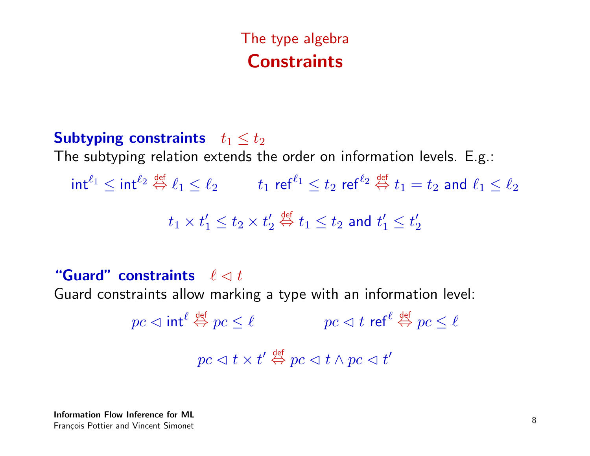## The type algebra **Constraints**

Subtyping constraints  $t_1 \leq t_2$ The subtyping relation extends the order on information levels. E.g.:  $\mathsf{int}^{\ell_1} \leq \mathsf{int}^{\ell_2} \stackrel{\mathsf{def}}{\Leftrightarrow} \ell_1 \leq \ell_2 \qquad \quad t_1 \mathsf{ r e f }^{\ell_1} \leq t_2 \mathsf{ r e f }^{\ell_2} \stackrel{\mathsf{def}}{\Leftrightarrow} t_1 = t_2 \mathsf{ and } \ \ell_1 \leq \ell_2$  $t_1 \times t_1' \leq t_2 \times t_2'$ 2  $\stackrel{\mathsf{def}}{\Leftrightarrow} t_1 \leq t_2$  and  $t'_1 \leq t'_2$ 2

"Guard" constraints  $\ell \lhd t$ 

Guard constraints allow marking a type with an information level:

 $\displaystyle{p}{c}\vartriangleleft\operatorname{int}^{\ell}\stackrel{\mathsf{def}}{\Leftrightarrow} p{c}\leq\ell\qquad\qquad p{c}\vartriangleleft t\,\operatorname{ref}^{\ell}\stackrel{\mathsf{def}}{\Leftrightarrow} p{c}\leq\ell$  $pc\vartriangleleft t\times t'\stackrel{\scriptscriptstyle\mathsf{def}}{\Leftrightarrow} pc\vartriangleleft t\wedge pc\vartriangleleft t'$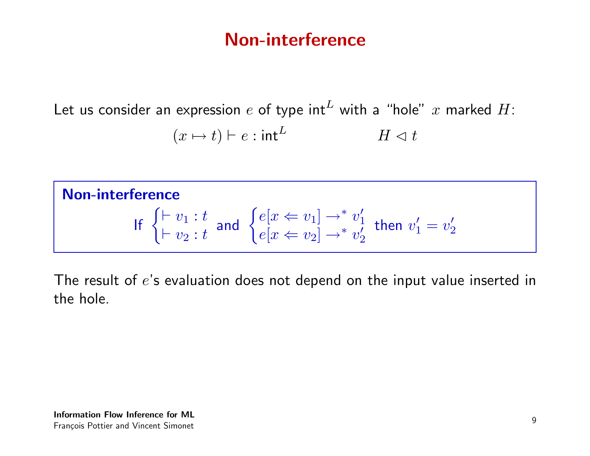#### Non-interference

Let us consider an expression  $e$  of type int<sup>L</sup> with a "hole"  $x$  marked  $H$ :  $(x \mapsto t) \vdash e : \mathsf{int}^L$   $H \lhd t$ 

Non-interference If  $\begin{cases} \vdash v_1 : t \\ \vdots \end{cases}$  $\vdash v_2 : t$ and  $\begin{cases} e[x \leftarrow v_1] \rightarrow^* v_1' \\ e[x \leftarrow v_1] \rightarrow^* v_2' \end{cases}$ 1  $e[x \Leftarrow v_2] \rightarrow^* v_2'$ 2 then  $v'_1 = v'_2$ 2

The result of e's evaluation does not depend on the input value inserted in the hole.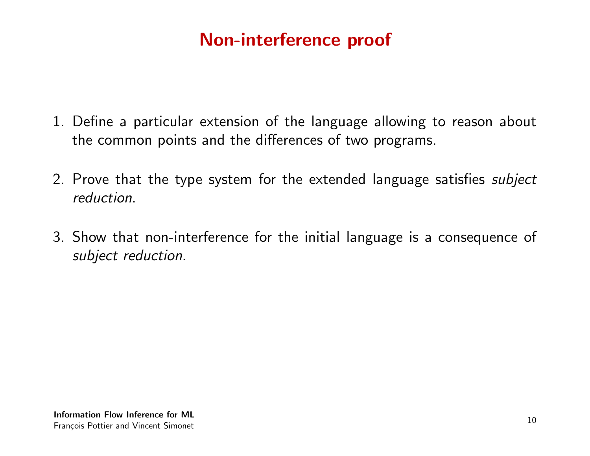## Non-interference proof

- 1. Define a particular extension of the language allowing to reason about the common points and the differences of two programs.
- 2. Prove that the type system for the extended language satisfies *subject* reduction.
- 3. Show that non-interference for the initial language is a consequence of subject reduction.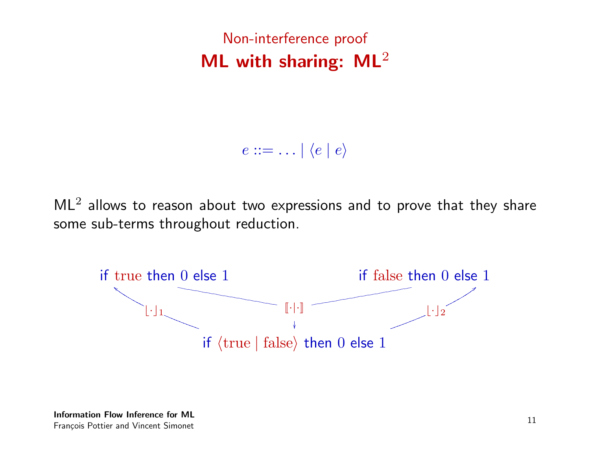Non-interference proof ML with sharing:  $ML^2$ 

 $e ::= \ldots | \langle e | e \rangle$ 

 $ML<sup>2</sup>$  allows to reason about two expressions and to prove that they share some sub-terms throughout reduction.

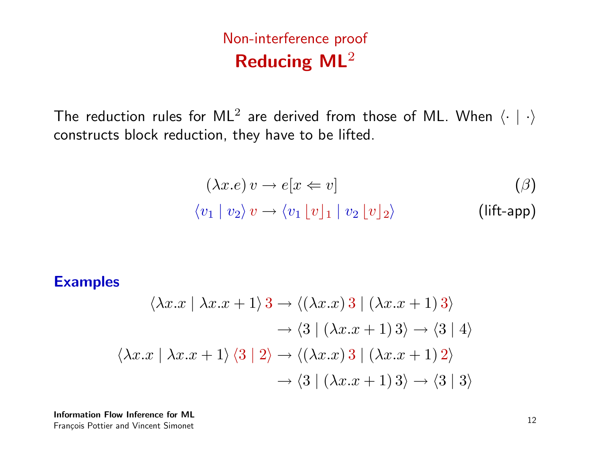Non-interference proof Reducing ML<sup>2</sup>

The reduction rules for ML<sup>2</sup> are derived from those of ML. When  $\langle\cdot\mid\cdot\rangle$ constructs block reduction, they have to be lifted.

$$
(\lambda x.e) v \to e[x \Leftarrow v]
$$
  

$$
\langle v_1 | v_2 \rangle v \to \langle v_1 | v_1 | v_2 | v_2 \rangle
$$
 (lift-app)

Examples

$$
\langle \lambda x. x \mid \lambda x. x + 1 \rangle 3 \rightarrow \langle (\lambda x. x) 3 \mid (\lambda x. x + 1) 3 \rangle
$$
  
\n
$$
\rightarrow \langle 3 \mid (\lambda x. x + 1) 3 \rangle \rightarrow \langle 3 \mid 4 \rangle
$$
  
\n
$$
\langle \lambda x. x \mid \lambda x. x + 1 \rangle \langle 3 \mid 2 \rangle \rightarrow \langle (\lambda x. x) 3 \mid (\lambda x. x + 1) 2 \rangle
$$
  
\n
$$
\rightarrow \langle 3 \mid (\lambda x. x + 1) 3 \rangle \rightarrow \langle 3 \mid 3 \rangle
$$

Information Flow Inference for ML François Pottier and Vincent Simonet 12<br>François Pottier and Vincent Simonet 12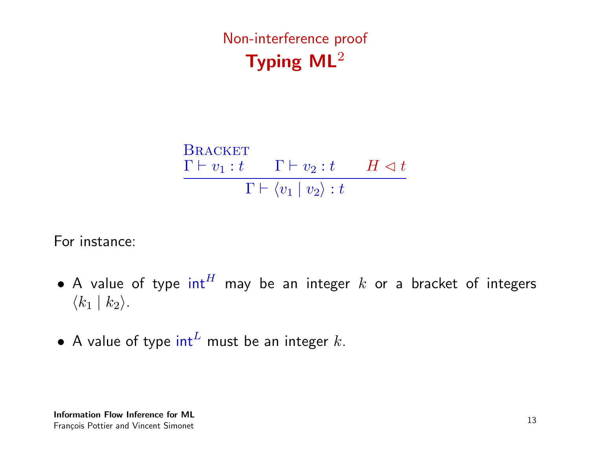Non-interference proof Typing ML<sup>2</sup>

Bracket

\n
$$
\frac{\Gamma \vdash v_1 : t \qquad \Gamma \vdash v_2 : t \qquad H \lhd t}{\Gamma \vdash \langle v_1 \mid v_2 \rangle : t}
$$

For instance:

- A value of type  $int^H$  may be an integer  $k$  or a bracket of integers  $\langle k_1 | k_2 \rangle$ .
- A value of type  $int^L$  must be an integer k.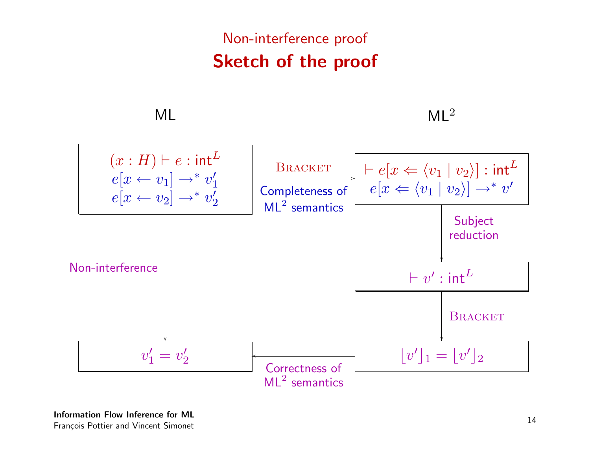## Non-interference proof Sketch of the proof

 $ML$  ML<sup>2</sup>

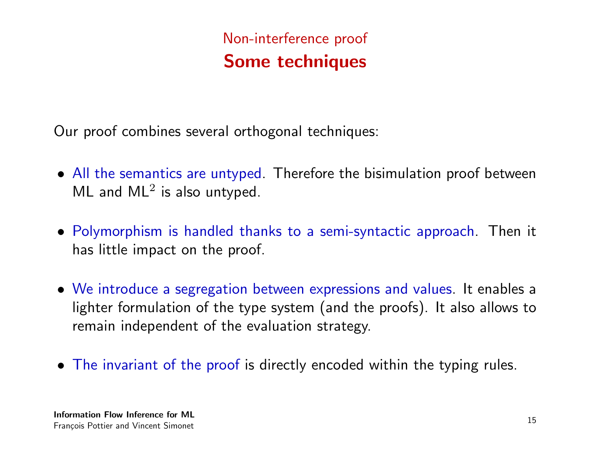## Non-interference proof Some techniques

Our proof combines several orthogonal techniques:

- All the semantics are untyped. Therefore the bisimulation proof between  $ML$  and  $ML<sup>2</sup>$  is also untyped.
- Polymorphism is handled thanks to a semi-syntactic approach. Then it has little impact on the proof.
- We introduce a segregation between expressions and values. It enables a lighter formulation of the type system (and the proofs). It also allows to remain independent of the evaluation strategy.
- The invariant of the proof is directly encoded within the typing rules.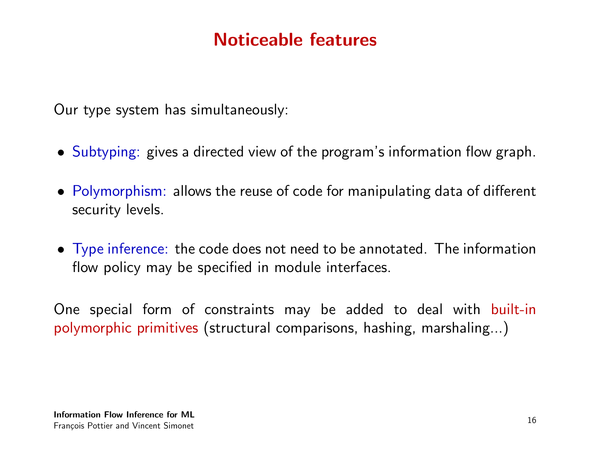#### Noticeable features

Our type system has simultaneously:

- Subtyping: gives a directed view of the program's information flow graph.
- Polymorphism: allows the reuse of code for manipulating data of different security levels.
- Type inference: the code does not need to be annotated. The information flow policy may be specified in module interfaces.

One special form of constraints may be added to deal with built-in polymorphic primitives (structural comparisons, hashing, marshaling...)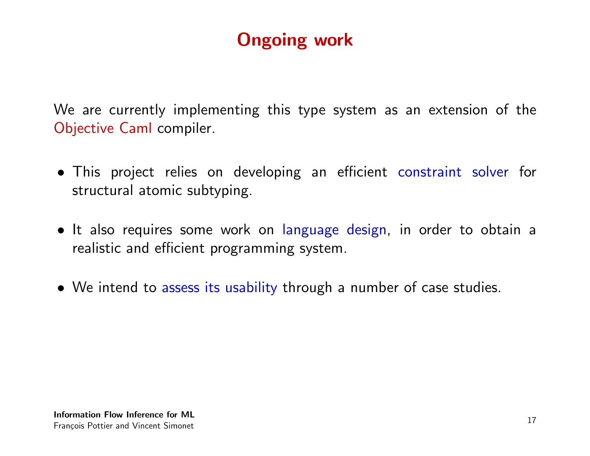## Ongoing work

We are currently implementing this type system as an extension of the Objective Caml compiler.

- This project relies on developing an efficient constraint solver for structural atomic subtyping.
- It also requires some work on language design, in order to obtain a realistic and efficient programming system.
- We intend to assess its usability through a number of case studies.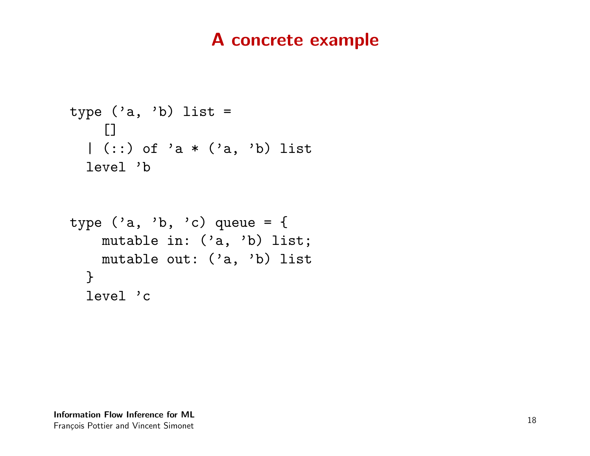#### A concrete example

```
type ('a, 'b) list =
  \Box| (::) of 'a * ('a, 'b) list
 level 'b
type ('a, 'b, 'c) queue = {
   mutable in: ('a, 'b) list;
   mutable out: ('a, 'b) list
 }
 level 'c
```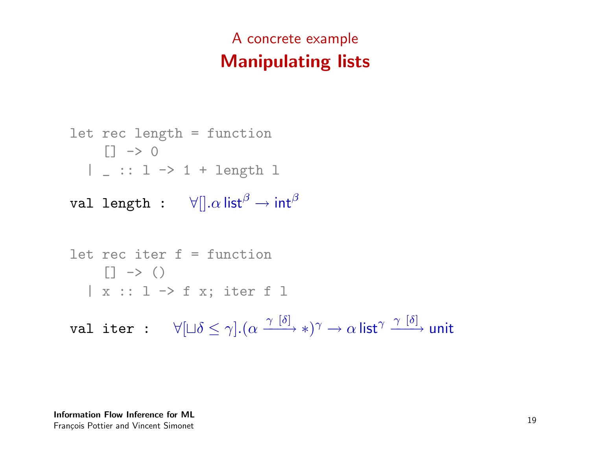## A concrete example Manipulating lists

```
let rec length = function
    \Box \rightarrow 0| _ :: l -> 1 + length l
```

```
val length : \forall ||.\alpha|| \text{ist}^{\beta} \rightarrow \text{int}^{\beta}
```

```
let rec iter f = function
        \Box \rightarrow ()| x :: l -> f x; iter f l
val iter : \forall [\sqcup \delta \leq \gamma] . (\alpha \xrightarrow{\gamma [\delta]} *) \gamma \rightarrow \alphalist^\gamma \xrightarrow{\gamma [\delta]}unit
```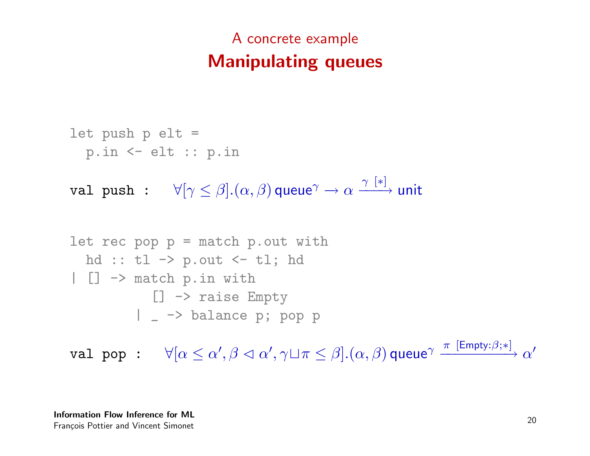## A concrete example Manipulating queues

$$
let push p elt =
$$
  
\n
$$
p.in \leftarrow elt :: p.in
$$

val push :  $\forall [\gamma \leq \beta] . (\alpha, \beta)$ queue $\gamma \rightarrow \alpha \xrightarrow{\gamma [\ast]}$ unit

```
let rec pop p = match p.out withhd :: t1 \rightarrow p.out \leftarrow t1; hd
| [] -> match p.in with
           [] -> raise Empty
         | _ -> balance p; pop p
```
 ${\tt val~pop~:} \quad \forall [\alpha \leq \alpha', \beta \vartriangleleft \alpha', \gamma \sqcup \pi \leq \beta].(\alpha, \beta)$ queue $^\gamma \xrightarrow{\pi \ [{\sf Empty} : \beta; *]} \alpha'$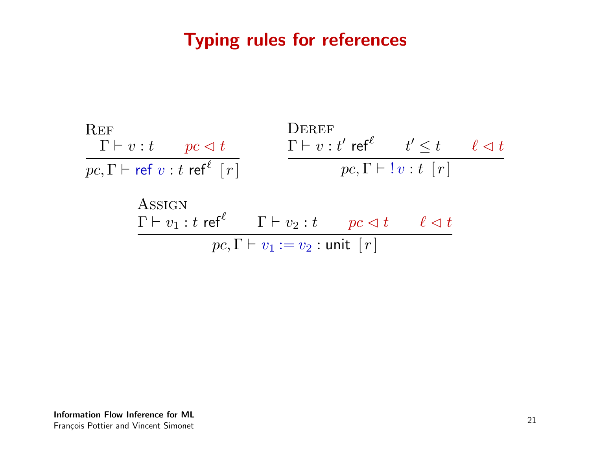#### Typing rules for references